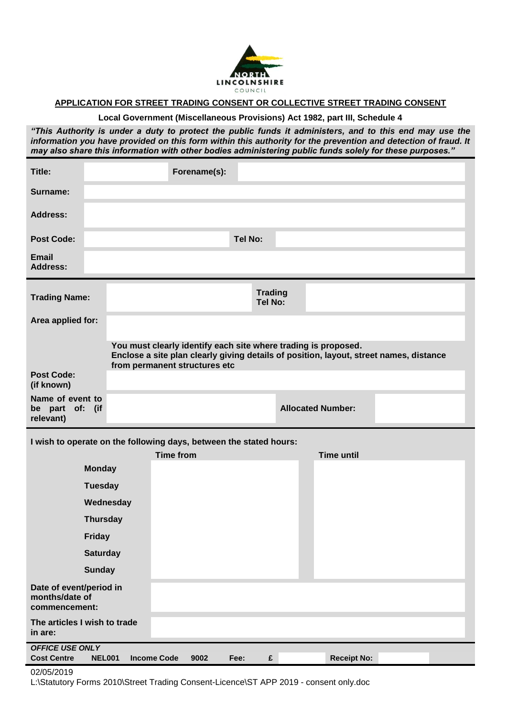

## **APPLICATION FOR STREET TRADING CONSENT OR COLLECTIVE STREET TRADING CONSENT**

**Local Government (Miscellaneous Provisions) Act 1982, part III, Schedule 4**

*"This Authority is under a duty to protect the public funds it administers, and to this end may use the information you have provided on this form within this authority for the prevention and detection of fraud. It may also share this information with other bodies administering public funds solely for these purposes."*

| Title:                                                             |                                     | Forename(s):                                                                                                                                             |                           |                          |  |
|--------------------------------------------------------------------|-------------------------------------|----------------------------------------------------------------------------------------------------------------------------------------------------------|---------------------------|--------------------------|--|
| Surname:                                                           |                                     |                                                                                                                                                          |                           |                          |  |
| <b>Address:</b>                                                    |                                     |                                                                                                                                                          |                           |                          |  |
| <b>Post Code:</b>                                                  |                                     |                                                                                                                                                          | <b>Tel No:</b>            |                          |  |
| <b>Email</b><br><b>Address:</b>                                    |                                     |                                                                                                                                                          |                           |                          |  |
| <b>Trading Name:</b>                                               |                                     |                                                                                                                                                          | <b>Trading</b><br>Tel No: |                          |  |
| Area applied for:                                                  |                                     |                                                                                                                                                          |                           |                          |  |
|                                                                    |                                     | You must clearly identify each site where trading is proposed.<br>Enclose a site plan clearly giving details of position, layout, street names, distance |                           |                          |  |
| <b>Post Code:</b><br>(if known)                                    |                                     | from permanent structures etc                                                                                                                            |                           |                          |  |
| Name of event to<br>be part of: (if<br>relevant)                   |                                     |                                                                                                                                                          |                           | <b>Allocated Number:</b> |  |
| I wish to operate on the following days, between the stated hours: |                                     |                                                                                                                                                          |                           |                          |  |
|                                                                    |                                     | <b>Time from</b>                                                                                                                                         |                           | <b>Time until</b>        |  |
| <b>Monday</b>                                                      |                                     |                                                                                                                                                          |                           |                          |  |
|                                                                    | <b>Tuesday</b>                      |                                                                                                                                                          |                           |                          |  |
|                                                                    | Wednesday                           |                                                                                                                                                          |                           |                          |  |
| <b>Thursday</b>                                                    |                                     |                                                                                                                                                          |                           |                          |  |
| Friday                                                             |                                     |                                                                                                                                                          |                           |                          |  |
| <b>Saturday</b>                                                    |                                     |                                                                                                                                                          |                           |                          |  |
| <b>Sunday</b>                                                      |                                     |                                                                                                                                                          |                           |                          |  |
| Date of event/period in<br>months/date of<br>commencement:         |                                     |                                                                                                                                                          |                           |                          |  |
| The articles I wish to trade<br>in are:                            |                                     |                                                                                                                                                          |                           |                          |  |
| <b>OFFICE USE ONLY</b><br><b>Cost Centre</b>                       | <b>NEL001</b><br><b>Income Code</b> | 9002                                                                                                                                                     | $\mathbf f$<br>Fee:       | <b>Receipt No:</b>       |  |

## 02/05/2019

L:\Statutory Forms 2010\Street Trading Consent-Licence\ST APP 2019 - consent only.doc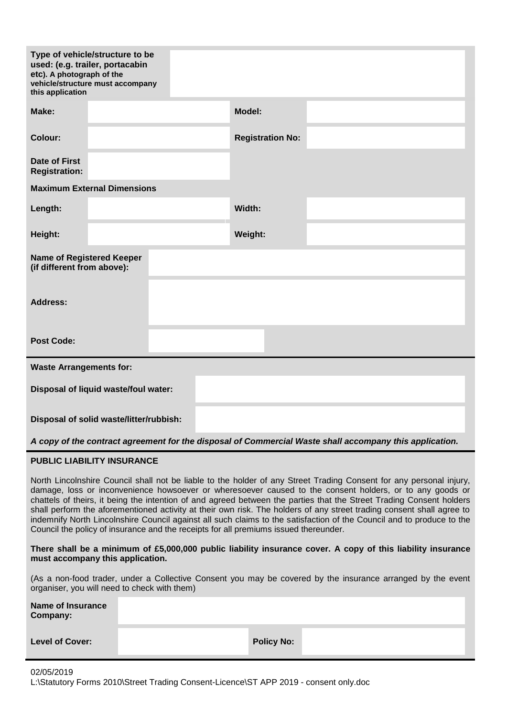| etc). A photograph of the<br>this application                                                           | Type of vehicle/structure to be<br>used: (e.g. trailer, portacabin<br>vehicle/structure must accompany |  |  |                         |  |
|---------------------------------------------------------------------------------------------------------|--------------------------------------------------------------------------------------------------------|--|--|-------------------------|--|
| Make:                                                                                                   |                                                                                                        |  |  | Model:                  |  |
| <b>Colour:</b>                                                                                          |                                                                                                        |  |  | <b>Registration No:</b> |  |
| Date of First<br><b>Registration:</b>                                                                   |                                                                                                        |  |  |                         |  |
|                                                                                                         | <b>Maximum External Dimensions</b>                                                                     |  |  |                         |  |
| Length:                                                                                                 |                                                                                                        |  |  | Width:                  |  |
| Height:                                                                                                 |                                                                                                        |  |  | Weight:                 |  |
| <b>Name of Registered Keeper</b><br>(if different from above):                                          |                                                                                                        |  |  |                         |  |
| <b>Address:</b>                                                                                         |                                                                                                        |  |  |                         |  |
| <b>Post Code:</b>                                                                                       |                                                                                                        |  |  |                         |  |
| <b>Waste Arrangements for:</b>                                                                          |                                                                                                        |  |  |                         |  |
| Disposal of liquid waste/foul water:                                                                    |                                                                                                        |  |  |                         |  |
| Disposal of solid waste/litter/rubbish:                                                                 |                                                                                                        |  |  |                         |  |
| A copy of the contract agreement for the disposal of Commercial Waste shall accompany this application. |                                                                                                        |  |  |                         |  |
| <b>PUBLIC LIABILITY INSURANCE</b>                                                                       |                                                                                                        |  |  |                         |  |

North Lincolnshire Council shall not be liable to the holder of any Street Trading Consent for any personal injury, damage, loss or inconvenience howsoever or wheresoever caused to the consent holders, or to any goods or chattels of theirs, it being the intention of and agreed between the parties that the Street Trading Consent holders shall perform the aforementioned activity at their own risk. The holders of any street trading consent shall agree to indemnify North Lincolnshire Council against all such claims to the satisfaction of the Council and to produce to the Council the policy of insurance and the receipts for all premiums issued thereunder.

## **There shall be a minimum of £5,000,000 public liability insurance cover. A copy of this liability insurance must accompany this application.**

(As a non-food trader, under a Collective Consent you may be covered by the insurance arranged by the event organiser, you will need to check with them)

| Name of Insurance<br>Company: |                   |
|-------------------------------|-------------------|
| <b>Level of Cover:</b>        | <b>Policy No:</b> |